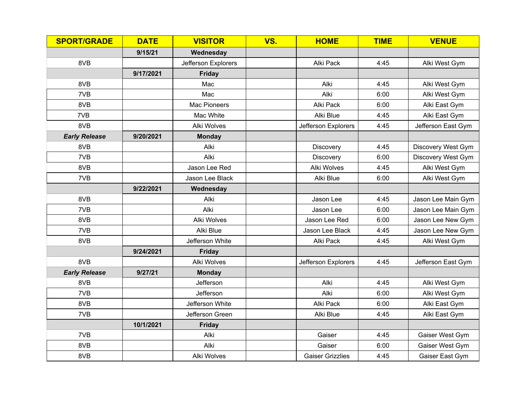| <b>SPORT/GRADE</b>   | <b>DATE</b> | <b>VISITOR</b>      | VS. | <b>HOME</b>             | <b>TIME</b> | <b>VENUE</b>       |
|----------------------|-------------|---------------------|-----|-------------------------|-------------|--------------------|
|                      | 9/15/21     | Wednesday           |     |                         |             |                    |
| 8VB                  |             | Jefferson Explorers |     | Alki Pack               | 4:45        | Alki West Gym      |
|                      | 9/17/2021   | <b>Friday</b>       |     |                         |             |                    |
| 8VB                  |             | Mac                 |     | Alki                    | 4:45        | Alki West Gym      |
| 7VB                  |             | Mac                 |     | Alki                    | 6:00        | Alki West Gym      |
| 8VB                  |             | Mac Pioneers        |     | Alki Pack               | 6:00        | Alki East Gym      |
| 7VB                  |             | Mac White           |     | Alki Blue               | 4:45        | Alki East Gym      |
| 8VB                  |             | <b>Alki Wolves</b>  |     | Jefferson Explorers     | 4:45        | Jefferson East Gym |
| <b>Early Release</b> | 9/20/2021   | <b>Monday</b>       |     |                         |             |                    |
| 8VB                  |             | Alki                |     | Discovery               | 4:45        | Discovery West Gym |
| 7VB                  |             | Alki                |     | Discovery               | 6:00        | Discovery West Gym |
| 8VB                  |             | Jason Lee Red       |     | <b>Alki Wolves</b>      | 4:45        | Alki West Gym      |
| 7VB                  |             | Jason Lee Black     |     | Alki Blue               | 6:00        | Alki West Gym      |
|                      | 9/22/2021   | Wednesday           |     |                         |             |                    |
| 8VB                  |             | Alki                |     | Jason Lee               | 4:45        | Jason Lee Main Gym |
| 7VB                  |             | Alki                |     | Jason Lee               | 6:00        | Jason Lee Main Gym |
| 8VB                  |             | <b>Alki Wolves</b>  |     | Jason Lee Red           | 6:00        | Jason Lee New Gym  |
| 7VB                  |             | Alki Blue           |     | Jason Lee Black         | 4:45        | Jason Lee New Gym  |
| 8VB                  |             | Jefferson White     |     | Alki Pack               | 4:45        | Alki West Gym      |
|                      | 9/24/2021   | <b>Friday</b>       |     |                         |             |                    |
| 8VB                  |             | <b>Alki Wolves</b>  |     | Jefferson Explorers     | 4:45        | Jefferson East Gym |
| <b>Early Release</b> | 9/27/21     | <b>Monday</b>       |     |                         |             |                    |
| 8VB                  |             | Jefferson           |     | Alki                    | 4:45        | Alki West Gym      |
| 7VB                  |             | Jefferson           |     | Alki                    | 6:00        | Alki West Gym      |
| 8VB                  |             | Jefferson White     |     | Alki Pack               | 6:00        | Alki East Gym      |
| 7VB                  |             | Jefferson Green     |     | Alki Blue               | 4:45        | Alki East Gym      |
|                      | 10/1/2021   | <b>Friday</b>       |     |                         |             |                    |
| 7VB                  |             | Alki                |     | Gaiser                  | 4:45        | Gaiser West Gym    |
| 8VB                  |             | Alki                |     | Gaiser                  | 6:00        | Gaiser West Gym    |
| 8VB                  |             | Alki Wolves         |     | <b>Gaiser Grizzlies</b> | 4:45        | Gaiser East Gym    |